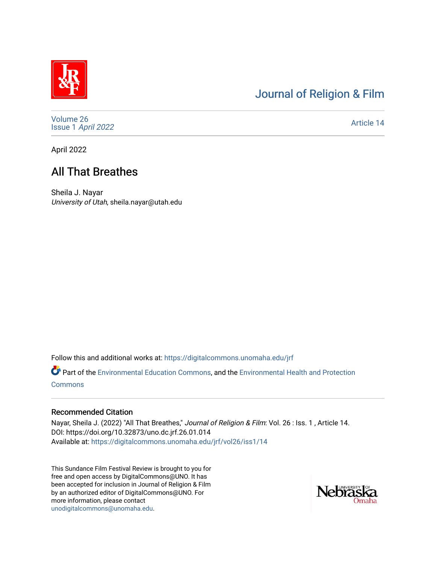# [Journal of Religion & Film](https://digitalcommons.unomaha.edu/jrf)

[Volume 26](https://digitalcommons.unomaha.edu/jrf/vol26) Issue 1 [April 2022](https://digitalcommons.unomaha.edu/jrf/vol26/iss1) 

[Article 14](https://digitalcommons.unomaha.edu/jrf/vol26/iss1/14) 

April 2022

# All That Breathes

Sheila J. Nayar University of Utah, sheila.nayar@utah.edu

Follow this and additional works at: [https://digitalcommons.unomaha.edu/jrf](https://digitalcommons.unomaha.edu/jrf?utm_source=digitalcommons.unomaha.edu%2Fjrf%2Fvol26%2Fiss1%2F14&utm_medium=PDF&utm_campaign=PDFCoverPages)

Part of the [Environmental Education Commons](http://network.bepress.com/hgg/discipline/1305?utm_source=digitalcommons.unomaha.edu%2Fjrf%2Fvol26%2Fiss1%2F14&utm_medium=PDF&utm_campaign=PDFCoverPages), and the [Environmental Health and Protection](http://network.bepress.com/hgg/discipline/172?utm_source=digitalcommons.unomaha.edu%2Fjrf%2Fvol26%2Fiss1%2F14&utm_medium=PDF&utm_campaign=PDFCoverPages) **[Commons](http://network.bepress.com/hgg/discipline/172?utm_source=digitalcommons.unomaha.edu%2Fjrf%2Fvol26%2Fiss1%2F14&utm_medium=PDF&utm_campaign=PDFCoverPages)** 

#### Recommended Citation

Nayar, Sheila J. (2022) "All That Breathes," Journal of Religion & Film: Vol. 26 : Iss. 1 , Article 14. DOI: https://doi.org/10.32873/uno.dc.jrf.26.01.014 Available at: [https://digitalcommons.unomaha.edu/jrf/vol26/iss1/14](https://digitalcommons.unomaha.edu/jrf/vol26/iss1/14?utm_source=digitalcommons.unomaha.edu%2Fjrf%2Fvol26%2Fiss1%2F14&utm_medium=PDF&utm_campaign=PDFCoverPages) 

This Sundance Film Festival Review is brought to you for free and open access by DigitalCommons@UNO. It has been accepted for inclusion in Journal of Religion & Film by an authorized editor of DigitalCommons@UNO. For more information, please contact [unodigitalcommons@unomaha.edu.](mailto:unodigitalcommons@unomaha.edu)

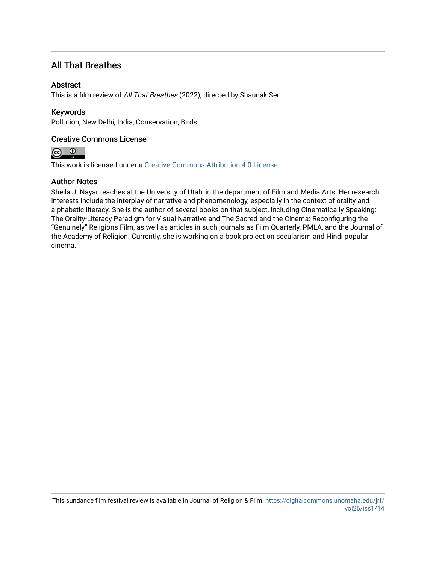## All That Breathes

#### **Abstract**

This is a film review of All That Breathes (2022), directed by Shaunak Sen.

### Keywords

Pollution, New Delhi, India, Conservation, Birds

### Creative Commons License



This work is licensed under a [Creative Commons Attribution 4.0 License](https://creativecommons.org/licenses/by/4.0/).

### Author Notes

Sheila J. Nayar teaches at the University of Utah, in the department of Film and Media Arts. Her research interests include the interplay of narrative and phenomenology, especially in the context of orality and alphabetic literacy. She is the author of several books on that subject, including Cinematically Speaking: The Orality-Literacy Paradigm for Visual Narrative and The Sacred and the Cinema: Reconfiguring the "Genuinely" Religions Film, as well as articles in such journals as Film Quarterly, PMLA, and the Journal of the Academy of Religion. Currently, she is working on a book project on secularism and Hindi popular cinema.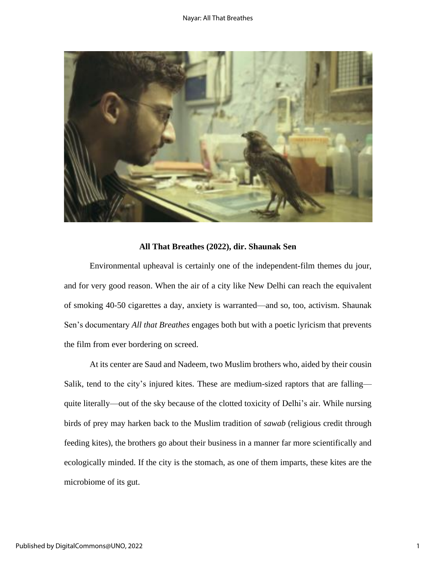

#### **All That Breathes (2022), dir. Shaunak Sen**

Environmental upheaval is certainly one of the independent-film themes du jour, and for very good reason. When the air of a city like New Delhi can reach the equivalent of smoking 40-50 cigarettes a day, anxiety is warranted—and so, too, activism. Shaunak Sen's documentary *All that Breathes* engages both but with a poetic lyricism that prevents the film from ever bordering on screed.

At its center are Saud and Nadeem, two Muslim brothers who, aided by their cousin Salik, tend to the city's injured kites. These are medium-sized raptors that are falling quite literally—out of the sky because of the clotted toxicity of Delhi's air. While nursing birds of prey may harken back to the Muslim tradition of *sawab* (religious credit through feeding kites), the brothers go about their business in a manner far more scientifically and ecologically minded. If the city is the stomach, as one of them imparts, these kites are the microbiome of its gut.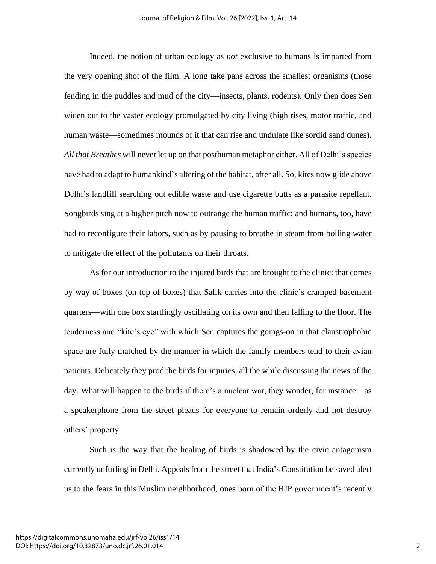Indeed, the notion of urban ecology as *not* exclusive to humans is imparted from the very opening shot of the film. A long take pans across the smallest organisms (those fending in the puddles and mud of the city—insects, plants, rodents). Only then does Sen widen out to the vaster ecology promulgated by city living (high rises, motor traffic, and human waste—sometimes mounds of it that can rise and undulate like sordid sand dunes). *All that Breathes* will never let up on that posthuman metaphor either. All of Delhi's species have had to adapt to humankind's altering of the habitat, after all. So, kites now glide above Delhi's landfill searching out edible waste and use cigarette butts as a parasite repellant. Songbirds sing at a higher pitch now to outrange the human traffic; and humans, too, have had to reconfigure their labors, such as by pausing to breathe in steam from boiling water to mitigate the effect of the pollutants on their throats.

As for our introduction to the injured birds that are brought to the clinic: that comes by way of boxes (on top of boxes) that Salik carries into the clinic's cramped basement quarters—with one box startlingly oscillating on its own and then falling to the floor. The tenderness and "kite's eye" with which Sen captures the goings-on in that claustrophobic space are fully matched by the manner in which the family members tend to their avian patients. Delicately they prod the birds for injuries, all the while discussing the news of the day. What will happen to the birds if there's a nuclear war, they wonder, for instance—as a speakerphone from the street pleads for everyone to remain orderly and not destroy others' property.

Such is the way that the healing of birds is shadowed by the civic antagonism currently unfurling in Delhi. Appeals from the street that India's Constitution be saved alert us to the fears in this Muslim neighborhood, ones born of the BJP government's recently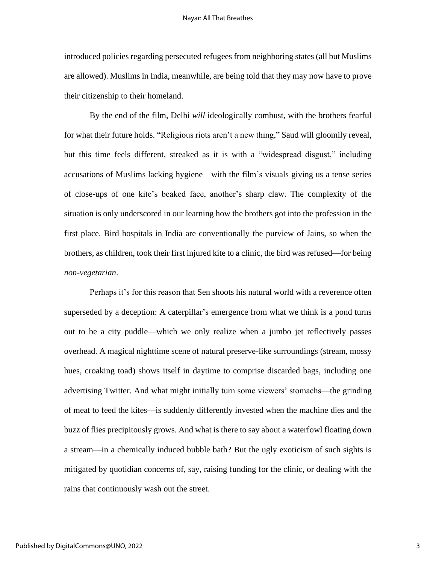introduced policies regarding persecuted refugees from neighboring states (all but Muslims are allowed). Muslims in India, meanwhile, are being told that they may now have to prove their citizenship to their homeland.

By the end of the film, Delhi *will* ideologically combust, with the brothers fearful for what their future holds. "Religious riots aren't a new thing," Saud will gloomily reveal, but this time feels different, streaked as it is with a "widespread disgust," including accusations of Muslims lacking hygiene—with the film's visuals giving us a tense series of close-ups of one kite's beaked face, another's sharp claw. The complexity of the situation is only underscored in our learning how the brothers got into the profession in the first place. Bird hospitals in India are conventionally the purview of Jains, so when the brothers, as children, took their first injured kite to a clinic, the bird was refused—for being *non-vegetarian*.

Perhaps it's for this reason that Sen shoots his natural world with a reverence often superseded by a deception: A caterpillar's emergence from what we think is a pond turns out to be a city puddle—which we only realize when a jumbo jet reflectively passes overhead. A magical nighttime scene of natural preserve-like surroundings (stream, mossy hues, croaking toad) shows itself in daytime to comprise discarded bags, including one advertising Twitter. And what might initially turn some viewers' stomachs—the grinding of meat to feed the kites—is suddenly differently invested when the machine dies and the buzz of flies precipitously grows. And what is there to say about a waterfowl floating down a stream—in a chemically induced bubble bath? But the ugly exoticism of such sights is mitigated by quotidian concerns of, say, raising funding for the clinic, or dealing with the rains that continuously wash out the street.

3